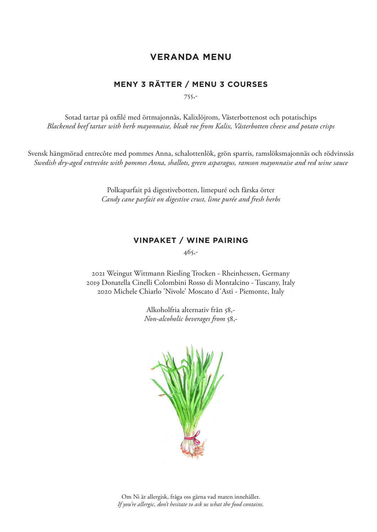## **VERANDA MENU**

#### **MENY 3 RÄTTER / MENU 3 COURSES**

755,-

Sotad tartar på oxfilé med örtmajonnäs, Kalixlöjrom, Västerbottenost och potatischips *Blackened beef tartar with herb mayonnaise, bleak roe from Kalix, Västerbotten cheese and potato crisps*

Svensk hängmörad entrecôte med pommes Anna, schalottenlök, grön sparris, ramslöksmajonnäs och rödvinssås *Swedish dry-aged entrecôte with pommes Anna, shallots, green asparagus, ramson mayonnaise and red wine sauce*

> Polkaparfait på digestivebotten, limepuré och färska örter *Candy cane parfait on digestive crust, lime purée and fresh herbs*

### **VINPAKET / WINE PAIRING**

465,-

2021 Weingut Wittmann Riesling Trocken - Rheinhessen, Germany 2019 Donatella Cinelli Colombini Rosso di Montalcino - Tuscany, Italy 2020 Michele Chiarlo 'Nivole' Moscato d´Asti - Piemonte, Italy

> Alkoholfria alternativ från 58,- *Non-alcoholic beverages from* 58,-

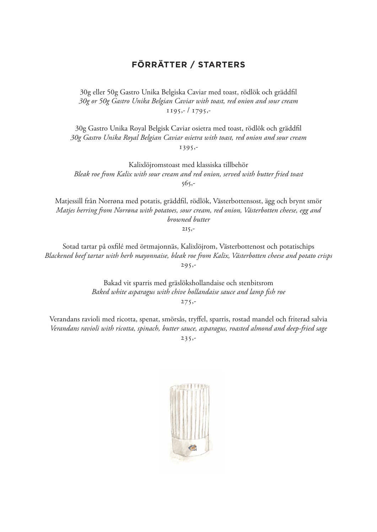## **FÖRRÄTTER / STARTERS**

30g eller 50g Gastro Unika Belgiska Caviar med toast, rödlök och gräddfil *30g or 50g Gastro Unika Belgian Caviar with toast, red onion and sour cream* 1195,- / 1795,-

30g Gastro Unika Royal Belgisk Caviar osietra med toast, rödlök och gräddfil *30g Gastro Unika Royal Belgian Caviar osietra with toast, red onion and sour cream* 1395,-

Kalixlöjromstoast med klassiska tillbehör *Bleak roe from Kalix with sour cream and red onion, served with butter fried toast* 565,-

Matjessill från Norrøna med potatis, gräddfil, rödlök, Västerbottensost, ägg och brynt smör *Matjes herring from Norrøna with potatoes, sour cream, red onion, Västerbotten cheese, egg and browned butter*

215,-

Sotad tartar på oxfilé med örtmajonnäs, Kalixlöjrom, Västerbottenost och potatischips *Blackened beef tartar with herb mayonnaise, bleak roe from Kalix, Västerbotten cheese and potato crisps* 295,-

> Bakad vit sparris med gräslökshollandaise och stenbitsrom *Baked white asparagus with chive hollandaise sauce and lamp fish roe*  $275, -$

Verandans ravioli med ricotta, spenat, smörsås, tryffel, sparris, rostad mandel och friterad salvia *Verandans ravioli with ricotta, spinach, butter sauce, asparagus, roasted almond and deep-fried sage* 235,-

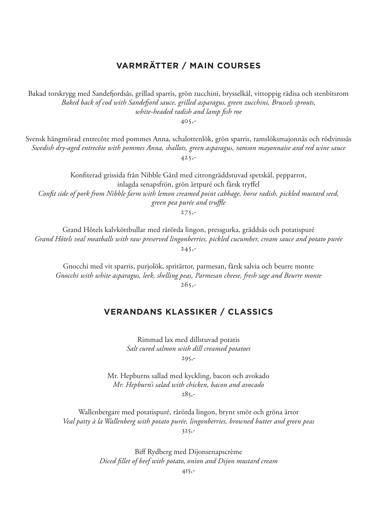### **VARMRÄTTER / MAIN COURSES**

Bakad torskrygg med Sandefjordsås, grillad sparris, grön zucchini, brysselkål, vittoppig rädisa och stenbitsrom *Baked back of cod with Sandefjord sauce, grilled asparagus, green zucchini, Brussels sprouts, white-headed radish and lamp fish roe*

405,-

Svensk hängmörad entrecôte med pommes Anna, schalottenlök, grön sparris, ramslöksmajonnäs och rödvinssås *Swedish dry-aged entrecôte with pommes Anna, shallots, green asparagus, ramson mayonnaise and red wine sauce* 425,-

Konfiterad grissida från Nibble Gård med citrongräddstuvad spetskål, pepparrot, inlagda senapsfrön, grön ärtpuré och färsk tryffel *Confit side of pork from Nibble farm with lemon creamed point cabbage, horse radish, pickled mustard seed, green pea purée and truffle*  $275$ ,-

Grand Hôtels kalvköttbullar med rårörda lingon, pressgurka, gräddsås och potatispuré *Grand Hôtels veal meatballs with raw preserved lingonberries, pickled cucumber, cream sauce and potato purée*  $245, -$ 

Gnocchi med vit sparris, purjolök, spritärtor, parmesan, färsk salvia och beurre monte *Gnocchi with white asparagus, leek, shelling peas, Parmesan cheese, fresh sage and Beurre monte*  $265 -$ 

### **VERANDANS KLASSIKER / CLASSICS**

Rimmad lax med dillstuvad potatis *Salt cured salmon with dill creamed potatoes* 295,-

Mr. Hepburns sallad med kyckling, bacon och avokado *Mr. Hepburn's salad with chicken, bacon and avocado* 285,-

Wallenbergare med potatispuré, rårörda lingon, brynt smör och gröna ärtor *Veal patty à la Wallenberg with potato purée, lingonberries, browned butter and green peas* 325,-

> Biff Rydberg med Dijonsenapscrème *Diced fillet of beef with potato, onion and Dijon mustard cream*

> > 415,-